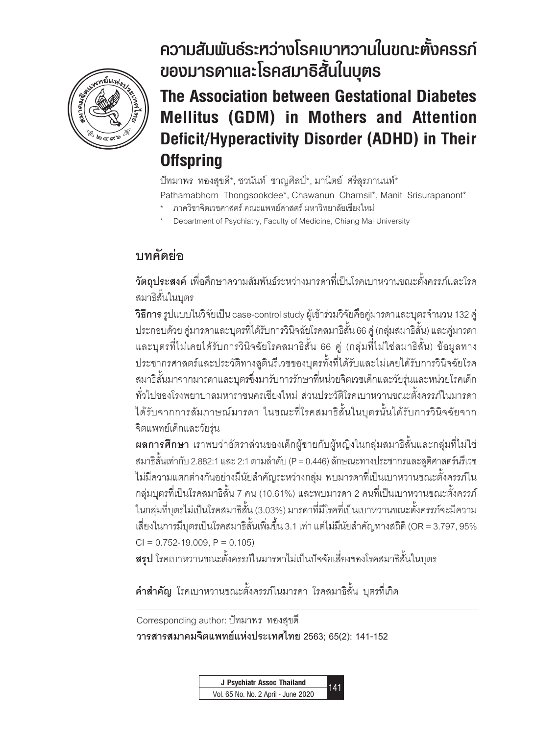

# **The Association between Gestational Diabetes Mellitus (GDM) in Mothers and Attention Deficit/Hyperactivity Disorder (ADHD) in Their Offspring ของมารดาและโรคสมาธิสั้นในบุตร** ความสัมพันธ์ระหว่างโรคเบาหวานในขณะตั้งครรภ์

**The Association between Gestational Diabetes Mellitus (GDM) in Mothers and Attention Deficit/Hyperactivity Disorder (ADHD) in Their Offspring**

ปัทมาพร ทองสุขดี\*, ชวนันท์ ชาญศิลป์\*, มานิตย์ ศรีสุรภานนท์\* Pathamabhorn Thongsookdee\*, Chawanun Charnsil\*, Manit Srisurapanont\*

- \* ภาควิชาจิตเวชศาสตร์ คณะแพทย์ศาสตร์ มหาวิทยาลัยเชียงใหม่
- Department of Psychiatry, Faculty of Medicine, Chiang Mai University

# **บทคัดย่อ**

**วัตถุประสงค์** เพื่อศึกษาความสัมพันธ์ระหว่างมารดาที่เป็นโรคเบาหวานขณะตั้งครรภ์และโรค สมาธิสั้นในบุตร

**วิธีการ** รูปแบบในวิจัยเป็น case-control study ผู้เข้าร่วมวิจัยคือคู่มารดาและบุตรจ�ำนวน 132 คู่ ประกอบด้วย คู่มารดาและบุตรที่ได้รับการวินิจฉัยโรคสมาธิสั้น 66 คู่ (กลุ่มสมาธิสั้น) และคู่มารดา และบุตรที่ไม่เคยได้รับการวินิจฉัยโรคสมาธิสั้น 66 คู่ (กลุ่มที่ไม่ใช่สมาธิสั้น) ข้อมูลทาง ประชากรศาสตร์และประวัติทางสูตินรีเวชของบุตรทั้งที่ได้รับและไม่เคยได้รับการวินิจฉัยโรค สมาธิสั้นมาจากมารดาและบุตรซึ่งมารับการรักษาที่หน่วยจิตเวชเด็กและวัยรุ่นและหน่วยโรคเด็ก ทั่วไปของโรงพยาบาลมหาราชนครเชียงใหม่ ส่วนประวัติโรคเบาหวานขณะตั้งครรภ์ในมารดา ได้รับจากการสัมภาษณ์มารดา ในขณะที่โรคสมาธิสั้นในบุตรนั้นได้รับการวินิจฉัยจาก จิตแพทย์เด็กและวัยรุ่น

**ผลการศึกษา** เราพบว่าอัตราส่วนของเด็กผู้ชายกับผู้หญิงในกลุ่มสมาธิสั้นและกลุ่มที่ไม่ใช่ สมาธิสั้นเท่ากับ 2.882:1 และ 2:1 ตามลำดับ (P = 0.446) ลักษณะทางประชากรและสูติศาสตร์นรีเวช ไม่มีความแตกต่างกันอย่างมีนัยสำคัญระหว่างกล่ม พบมารดาที่เป็นเบาหวานขณะตั้งครรภ์ใน กลุ่มบุตรที่เป็นโรคสมาธิสั้น 7 คน (10.61%) และพบมารดา 2 คนที่เป็นเบาหวานขณะตั้งครรภ์ ในกลุ่มที่บุตรไม่เป็นโรคสมาธิสั้น (3.03%) มารดาที่มีโรคที่เป็นเบาหวานขณะตั้งครรภ์จะมีความ เสี่ยงในการมีบุตรเป็นโรคสมาธิสั้นเพิ่มขึ้น 3.1 เท่า แต่ไม่มีนัยสำคัญทางสถิติ (OR = 3.797, 95%  $CI = 0.752 - 19.009$ ,  $P = 0.105$ 

**สรุป** โรคเบาหวานขณะตั้งครรภ์ในมารดาไม่เป็นปัจจัยเสี่ยงของโรคสมาธิสั้นในบุตร

**ค�ำส�ำคัญ** โรคเบาหวานขณะตั้งครรภ์ในมารดา โรคสมาธิสั้น บุตรที่เกิด

Corresponding author: ปัทมาพร ทองสุขดี **วารสารสมาคมจิตแพทย์แห่งประเทศไทย 2563; 65(2): 141-152**

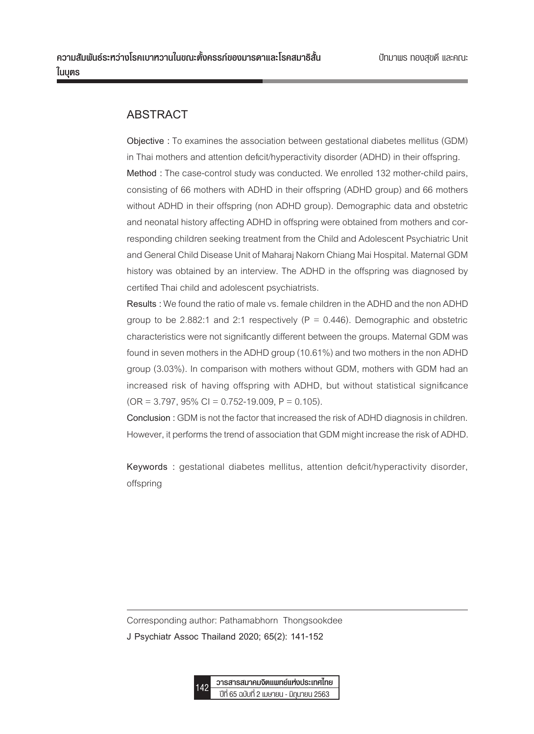## **ABSTRACT**

**Objective :** To examines the association between gestational diabetes mellitus (GDM) in Thai mothers and attention deficit/hyperactivity disorder (ADHD) in their offspring. **Method :** The case-control study was conducted. We enrolled 132 mother-child pairs, consisting of 66 mothers with ADHD in their offspring (ADHD group) and 66 mothers without ADHD in their offspring (non ADHD group). Demographic data and obstetric and neonatal history affecting ADHD in offspring were obtained from mothers and corresponding children seeking treatment from the Child and Adolescent Psychiatric Unit and General Child Disease Unit of Maharaj Nakorn Chiang Mai Hospital. Maternal GDM history was obtained by an interview. The ADHD in the offspring was diagnosed by certified Thai child and adolescent psychiatrists.

**Results :** We found the ratio of male vs. female children in the ADHD and the non ADHD group to be 2.882:1 and 2:1 respectively ( $P = 0.446$ ). Demographic and obstetric characteristics were not significantly different between the groups. Maternal GDM was found in seven mothers in the ADHD group (10.61%) and two mothers in the non ADHD group (3.03%). In comparison with mothers without GDM, mothers with GDM had an increased risk of having offspring with ADHD, but without statistical significance  $(OR = 3.797, 95\% CI = 0.752-19.009, P = 0.105).$ 

**Conclusion :** GDM is not the factor that increased the risk of ADHD diagnosis in children. However, it performs the trend of association that GDM might increase the risk of ADHD.

**Keywords :** gestational diabetes mellitus, attention deficit/hyperactivity disorder, offspring

Corresponding author: Pathamabhorn Thongsookdee

**J Psychiatr Assoc Thailand 2020; 65(2): 141-152**

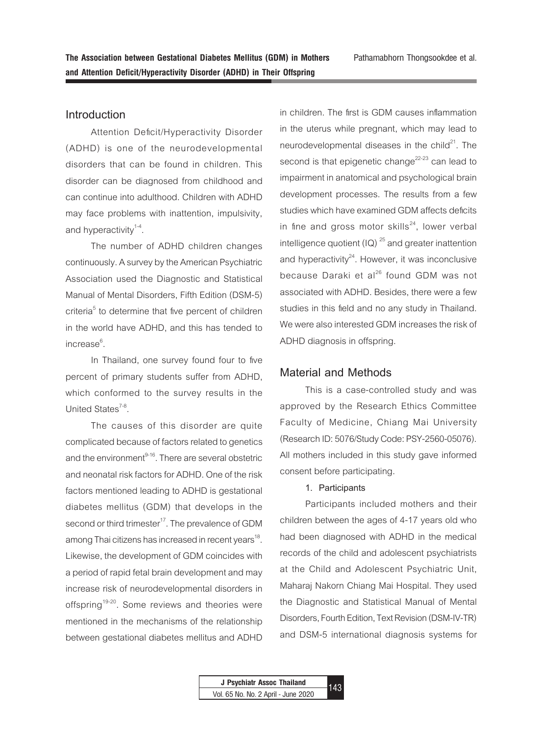**Introduction**

Attention Deficit/Hyperactivity Disorder (ADHD) is one of the neurodevelopmental disorders that can be found in children. This disorder can be diagnosed from childhood and can continue into adulthood. Children with ADHD may face problems with inattention, impulsivity, and hyperactivity $1-4$ .

The number of ADHD children changes continuously. A survey by the American Psychiatric Association used the Diagnostic and Statistical Manual of Mental Disorders, Fifth Edition (DSM-5) criteria<sup>5</sup> to determine that five percent of children in the world have ADHD, and this has tended to increase<sup>6</sup>. .

In Thailand, one survey found four to five percent of primary students suffer from ADHD, which conformed to the survey results in the United States $7-8$ .

The causes of this disorder are quite complicated because of factors related to genetics and the environment<sup>9-16</sup>. There are several obstetric and neonatal risk factors for ADHD. One of the risk factors mentioned leading to ADHD is gestational diabetes mellitus (GDM) that develops in the second or third trimester<sup>17</sup>. The prevalence of GDM among Thai citizens has increased in recent years<sup>18</sup>. Likewise, the development of GDM coincides with a period of rapid fetal brain development and may increase risk of neurodevelopmental disorders in offspring<sup>19-20</sup>. Some reviews and theories were mentioned in the mechanisms of the relationship between gestational diabetes mellitus and ADHD

in children. The first is GDM causes inflammation in the uterus while pregnant, which may lead to neurodevelopmental diseases in the child $^{21}$ . The second is that epigenetic change<sup>22-23</sup> can lead to impairment in anatomical and psychological brain development processes. The results from a few studies which have examined GDM affects deficits in fine and gross motor skills $^{24}$ , lower verbal intelligence quotient  $\left( \text{IQ} \right)$ <sup>25</sup> and greater inattention and hyperactivity $24$ . However, it was inconclusive because Daraki et al<sup>26</sup> found GDM was not associated with ADHD. Besides, there were a few studies in this field and no any study in Thailand. We were also interested GDM increases the risk of ADHD diagnosis in offspring.

## **Material and Methods**

This is a case-controlled study and was approved by the Research Ethics Committee Faculty of Medicine, Chiang Mai University (Research ID: 5076/Study Code: PSY-2560-05076). All mothers included in this study gave informed consent before participating.

## **1. Participants**

Participants included mothers and their children between the ages of 4-17 years old who had been diagnosed with ADHD in the medical records of the child and adolescent psychiatrists at the Child and Adolescent Psychiatric Unit, Maharaj Nakorn Chiang Mai Hospital. They used the Diagnostic and Statistical Manual of Mental Disorders, Fourth Edition, Text Revision (DSM-IV-TR) and DSM-5 international diagnosis systems for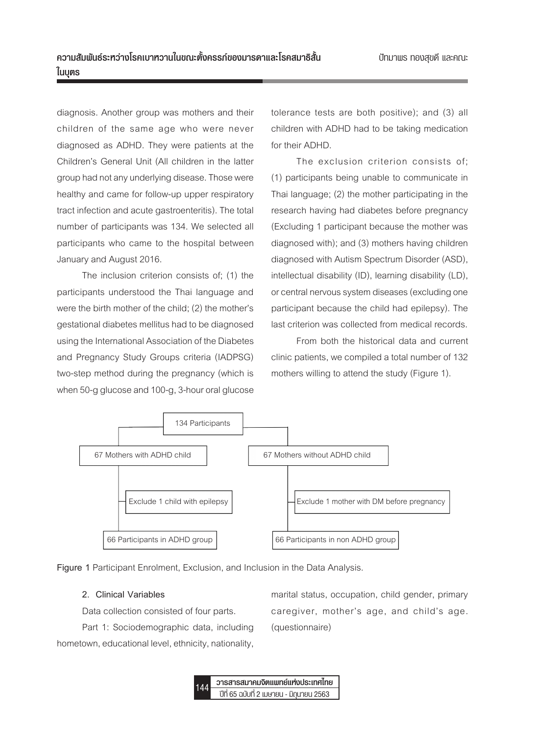diagnosis. Another group was mothers and their children of the same age who were never diagnosed as ADHD. They were patients at the Children's General Unit (All children in the latter group had not any underlying disease. Those were healthy and came for follow-up upper respiratory tract infection and acute gastroenteritis). The total number of participants was 134. We selected all participants who came to the hospital between January and August 2016.

The inclusion criterion consists of; (1) the participants understood the Thai language and were the birth mother of the child; (2) the mother's gestational diabetes mellitus had to be diagnosed using the International Association of the Diabetes and Pregnancy Study Groups criteria (IADPSG) two-step method during the pregnancy (which is when 50-g glucose and 100-g, 3-hour oral glucose

tolerance tests are both positive); and (3) all children with ADHD had to be taking medication for their ADHD.

The exclusion criterion consists of; (1) participants being unable to communicate in Thai language; (2) the mother participating in the research having had diabetes before pregnancy (Excluding 1 participant because the mother was diagnosed with); and (3) mothers having children diagnosed with Autism Spectrum Disorder (ASD), intellectual disability (ID), learning disability (LD), or central nervous system diseases (excluding one participant because the child had epilepsy). The last criterion was collected from medical records.

From both the historical data and current clinic patients, we compiled a total number of 132 mothers willing to attend the study (Figure 1).



**Figure 1** Participant Enrolment, Exclusion, and Inclusion in the Data Analysis.

### **2. Clinical Variables**

Data collection consisted of four parts.

Part 1: Sociodemographic data, including hometown, educational level, ethnicity, nationality,

marital status, occupation, child gender, primary caregiver, mother's age, and child's age. (questionnaire)

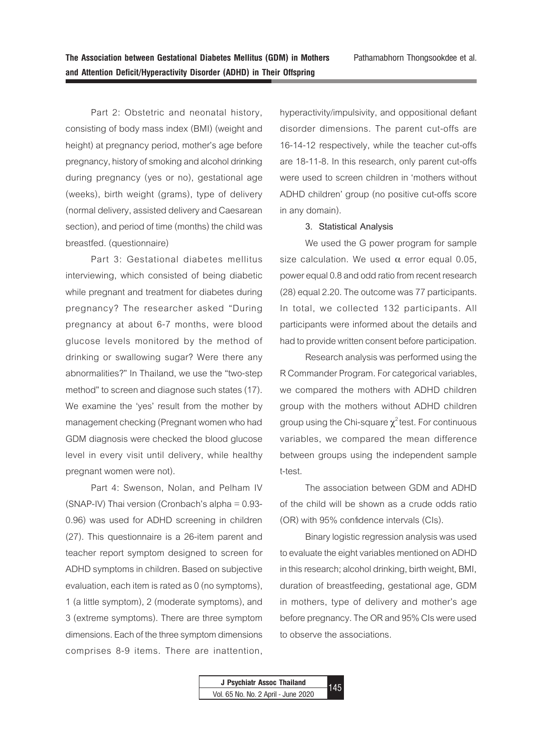Part 2: Obstetric and neonatal history, consisting of body mass index (BMI) (weight and height) at pregnancy period, mother's age before pregnancy, history of smoking and alcohol drinking during pregnancy (yes or no), gestational age (weeks), birth weight (grams), type of delivery (normal delivery, assisted delivery and Caesarean section), and period of time (months) the child was breastfed. (questionnaire)

Part 3: Gestational diabetes mellitus interviewing, which consisted of being diabetic while pregnant and treatment for diabetes during pregnancy? The researcher asked "During pregnancy at about 6-7 months, were blood glucose levels monitored by the method of drinking or swallowing sugar? Were there any abnormalities?" In Thailand, we use the "two-step method" to screen and diagnose such states (17). We examine the 'yes' result from the mother by management checking (Pregnant women who had GDM diagnosis were checked the blood glucose level in every visit until delivery, while healthy pregnant women were not).

Part 4: Swenson, Nolan, and Pelham IV (SNAP-IV) Thai version (Cronbach's alpha = 0.93- 0.96) was used for ADHD screening in children (27). This questionnaire is a 26-item parent and teacher report symptom designed to screen for ADHD symptoms in children. Based on subjective evaluation, each item is rated as 0 (no symptoms), 1 (a little symptom), 2 (moderate symptoms), and 3 (extreme symptoms). There are three symptom dimensions. Each of the three symptom dimensions comprises 8-9 items. There are inattention,

hyperactivity/impulsivity, and oppositional defiant disorder dimensions. The parent cut-offs are 16-14-12 respectively, while the teacher cut-offs are 18-11-8. In this research, only parent cut-offs were used to screen children in 'mothers without ADHD children' group (no positive cut-offs score in any domain).

### **3. Statistical Analysis**

We used the G power program for sample size calculation. We used  $α$  error equal 0.05, power equal 0.8 and odd ratio from recent research (28) equal 2.20. The outcome was 77 participants. In total, we collected 132 participants. All participants were informed about the details and had to provide written consent before participation.

Research analysis was performed using the R Commander Program. For categorical variables, we compared the mothers with ADHD children group with the mothers without ADHD children group using the Chi-square  $\chi^2$  test. For continuous variables, we compared the mean difference between groups using the independent sample t-test.

The association between GDM and ADHD of the child will be shown as a crude odds ratio (OR) with 95% confidence intervals (CIs).

Binary logistic regression analysis was used to evaluate the eight variables mentioned on ADHD in this research; alcohol drinking, birth weight, BMI, duration of breastfeeding, gestational age, GDM in mothers, type of delivery and mother's age before pregnancy. The OR and 95% CIs were used to observe the associations.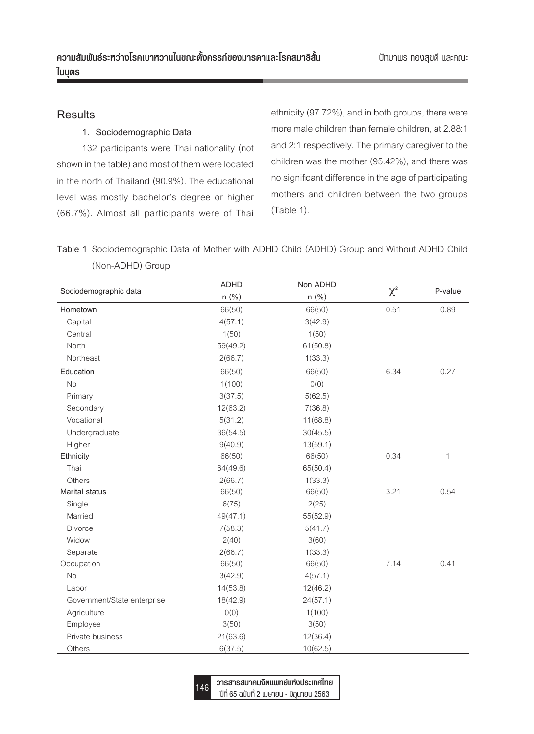## **Results**

## **1. Sociodemographic Data**

132 participants were Thai nationality (not shown in the table) and most of them were located in the north of Thailand (90.9%). The educational level was mostly bachelor's degree or higher (66.7%). Almost all participants were of Thai ethnicity (97.72%), and in both groups, there were more male children than female children, at 2.88:1 and 2:1 respectively. The primary caregiver to the children was the mother (95.42%), and there was no significant difference in the age of participating mothers and children between the two groups (Table 1).

**Table 1** Sociodemographic Data of Mother with ADHD Child (ADHD) Group and Without ADHD Child (Non-ADHD) Group

|                             | <b>ADHD</b> | Non ADHD |          |             |
|-----------------------------|-------------|----------|----------|-------------|
| Sociodemographic data       | n (%)       | n (%)    | $\chi^2$ | P-value     |
| Hometown                    | 66(50)      | 66(50)   | 0.51     | 0.89        |
| Capital                     | 4(57.1)     | 3(42.9)  |          |             |
| Central                     | 1(50)       | 1(50)    |          |             |
| North                       | 59(49.2)    | 61(50.8) |          |             |
| Northeast                   | 2(66.7)     | 1(33.3)  |          |             |
| Education                   | 66(50)      | 66(50)   | 6.34     | 0.27        |
| <b>No</b>                   | 1(100)      | O(0)     |          |             |
| Primary                     | 3(37.5)     | 5(62.5)  |          |             |
| Secondary                   | 12(63.2)    | 7(36.8)  |          |             |
| Vocational                  | 5(31.2)     | 11(68.8) |          |             |
| Undergraduate               | 36(54.5)    | 30(45.5) |          |             |
| Higher                      | 9(40.9)     | 13(59.1) |          |             |
| Ethnicity                   | 66(50)      | 66(50)   | 0.34     | $\mathbf 1$ |
| Thai                        | 64(49.6)    | 65(50.4) |          |             |
| Others                      | 2(66.7)     | 1(33.3)  |          |             |
| Marital status              | 66(50)      | 66(50)   | 3.21     | 0.54        |
| Single                      | 6(75)       | 2(25)    |          |             |
| Married                     | 49(47.1)    | 55(52.9) |          |             |
| <b>Divorce</b>              | 7(58.3)     | 5(41.7)  |          |             |
| Widow                       | 2(40)       | 3(60)    |          |             |
| Separate                    | 2(66.7)     | 1(33.3)  |          |             |
| Occupation                  | 66(50)      | 66(50)   | 7.14     | 0.41        |
| <b>No</b>                   | 3(42.9)     | 4(57.1)  |          |             |
| Labor                       | 14(53.8)    | 12(46.2) |          |             |
| Government/State enterprise | 18(42.9)    | 24(57.1) |          |             |
| Agriculture                 | O(0)        | 1(100)   |          |             |
| Employee                    | 3(50)       | 3(50)    |          |             |
| Private business            | 21(63.6)    | 12(36.4) |          |             |
| Others                      | 6(37.5)     | 10(62.5) |          |             |

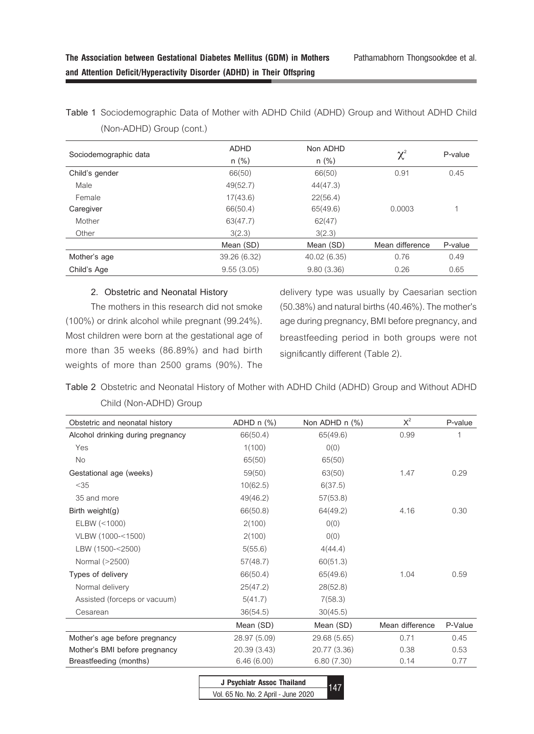| Sociodemographic data | <b>ADHD</b><br>$n$ (%) | Non ADHD<br>$n$ (%) | $\chi^{\scriptscriptstyle 2}$ | P-value |
|-----------------------|------------------------|---------------------|-------------------------------|---------|
| Child's gender        | 66(50)                 | 66(50)              | 0.91                          |         |
| Male                  | 49(52.7)               | 44(47.3)            |                               |         |
| Female                | 17(43.6)               | 22(56.4)            |                               |         |
| Caregiver             | 66(50.4)               | 65(49.6)            | 0.0003                        |         |
| Mother                | 63(47.7)               | 62(47)              |                               |         |
| Other                 | 3(2.3)                 | 3(2.3)              |                               |         |
|                       | Mean (SD)              | Mean (SD)           | Mean difference               | P-value |
| Mother's age          | 39.26 (6.32)           | 40.02 (6.35)        | 0.76                          | 0.49    |
| Child's Age           | 9.55(3.05)             | 9.80(3.36)          | 0.26                          | 0.65    |

**Table 1** Sociodemographic Data of Mother with ADHD Child (ADHD) Group and Without ADHD Child (Non-ADHD) Group (cont.)

### **2. Obstetric and Neonatal History**

The mothers in this research did not smoke (100%) or drink alcohol while pregnant (99.24%). Most children were born at the gestational age of more than 35 weeks (86.89%) and had birth weights of more than 2500 grams (90%). The

delivery type was usually by Caesarian section (50.38%) and natural births (40.46%). The mother's age during pregnancy, BMI before pregnancy, and breastfeeding period in both groups were not significantly different (Table 2).

**Table 2** Obstetric and Neonatal History of Mother with ADHD Child (ADHD) Group and Without ADHD Child (Non-ADHD) Group

| Obstetric and neonatal history    | ADHD $n$ $%$ ) | Non ADHD n (%) | $X^2$           | P-value |
|-----------------------------------|----------------|----------------|-----------------|---------|
| Alcohol drinking during pregnancy | 66(50.4)       | 65(49.6)       | 0.99            | 1       |
| Yes                               | 1(100)         | O(0)           |                 |         |
| No                                | 65(50)         | 65(50)         |                 |         |
| Gestational age (weeks)           | 59(50)         | 63(50)         | 1.47            | 0.29    |
| < 35                              | 10(62.5)       | 6(37.5)        |                 |         |
| 35 and more                       | 49(46.2)       | 57(53.8)       |                 |         |
| Birth weight $(g)$                | 66(50.8)       | 64(49.2)       | 4.16            | 0.30    |
| ELBW (< 1000)                     | 2(100)         | O(0)           |                 |         |
| VLBW (1000-<1500)                 | 2(100)         | 0(0)           |                 |         |
| LBW (1500-<2500)                  | 5(55.6)        | 4(44.4)        |                 |         |
| Normal (>2500)                    | 57(48.7)       | 60(51.3)       |                 |         |
| Types of delivery                 | 66(50.4)       | 65(49.6)       | 1.04            | 0.59    |
| Normal delivery                   | 25(47.2)       | 28(52.8)       |                 |         |
| Assisted (forceps or vacuum)      | 5(41.7)        | 7(58.3)        |                 |         |
| Cesarean                          | 36(54.5)       | 30(45.5)       |                 |         |
|                                   | Mean (SD)      | Mean (SD)      | Mean difference | P-Value |
| Mother's age before pregnancy     | 28.97 (5.09)   | 29.68 (5.65)   | 0.71            | 0.45    |
| Mother's BMI before pregnancy     | 20.39 (3.43)   | 20.77 (3.36)   | 0.38            | 0.53    |
| Breastfeeding (months)            | 6.46(6.00)     | 6.80(7.30)     | 0.14            | 0.77    |

| J Psychiatr Assoc Thailand          |  |
|-------------------------------------|--|
| Vol. 65 No. No. 2 April - June 2020 |  |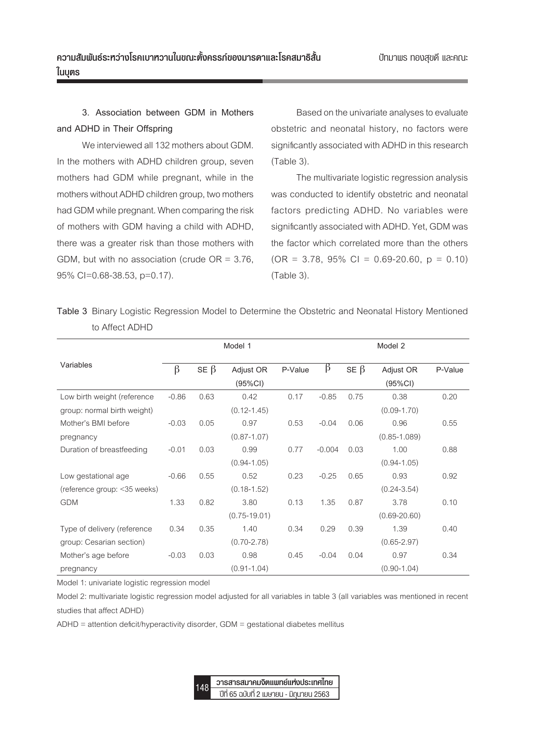# **3. Association between GDM in Mothers and ADHD in Their Offspring**

We interviewed all 132 mothers about GDM. In the mothers with ADHD children group, seven mothers had GDM while pregnant, while in the mothers without ADHD children group, two mothers had GDM while pregnant. When comparing the risk of mothers with GDM having a child with ADHD, there was a greater risk than those mothers with GDM, but with no association (crude  $OR = 3.76$ , 95% CI=0.68-38.53, p=0.17).

Based on the univariate analyses to evaluate obstetric and neonatal history, no factors were significantly associated with ADHD in this research (Table 3).

The multivariate logistic regression analysis was conducted to identify obstetric and neonatal factors predicting ADHD. No variables were significantly associated with ADHD. Yet, GDM was the factor which correlated more than the others  $(OR = 3.78, 95\% \text{ Cl} = 0.69\text{-}20.60, p = 0.10)$ (Table 3).

|                              | Model 1 |            |                  | Model 2 |          |            |                  |         |
|------------------------------|---------|------------|------------------|---------|----------|------------|------------------|---------|
| Variables                    | $\beta$ | $SE \beta$ | Adjust OR        | P-Value | β        | SE $\beta$ | Adjust OR        | P-Value |
|                              |         |            | (95%CI)          |         |          |            | $(95\%CI)$       |         |
| Low birth weight (reference  | $-0.86$ | 0.63       | 0.42             | 0.17    | $-0.85$  | 0.75       | 0.38             | 0.20    |
| group: normal birth weight)  |         |            | $(0.12 - 1.45)$  |         |          |            | $(0.09 - 1.70)$  |         |
| Mother's BMI before          | $-0.03$ | 0.05       | 0.97             | 0.53    | $-0.04$  | 0.06       | 0.96             | 0.55    |
| pregnancy                    |         |            | $(0.87 - 1.07)$  |         |          |            | $(0.85 - 1.089)$ |         |
| Duration of breastfeeding    | $-0.01$ | 0.03       | 0.99             | 0.77    | $-0.004$ | 0.03       | 1.00             | 0.88    |
|                              |         |            | $(0.94 - 1.05)$  |         |          |            | $(0.94 - 1.05)$  |         |
| Low gestational age          | $-0.66$ | 0.55       | 0.52             | 0.23    | $-0.25$  | 0.65       | 0.93             | 0.92    |
| (reference group: <35 weeks) |         |            | $(0.18 - 1.52)$  |         |          |            | $(0.24 - 3.54)$  |         |
| <b>GDM</b>                   | 1.33    | 0.82       | 3.80             | 0.13    | 1.35     | 0.87       | 3.78             | 0.10    |
|                              |         |            | $(0.75 - 19.01)$ |         |          |            | $(0.69 - 20.60)$ |         |
| Type of delivery (reference  | 0.34    | 0.35       | 1.40             | 0.34    | 0.29     | 0.39       | 1.39             | 0.40    |
| group: Cesarian section)     |         |            | $(0.70 - 2.78)$  |         |          |            | $(0.65 - 2.97)$  |         |
| Mother's age before          | $-0.03$ | 0.03       | 0.98             | 0.45    | $-0.04$  | 0.04       | 0.97             | 0.34    |
| pregnancy                    |         |            | $(0.91 - 1.04)$  |         |          |            | $(0.90 - 1.04)$  |         |

**Table 3** Binary Logistic Regression Model to Determine the Obstetric and Neonatal History Mentioned to Affect ADHD

Model 1: univariate logistic regression model

Model 2: multivariate logistic regression model adjusted for all variables in table 3 (all variables was mentioned in recent studies that affect ADHD)

ADHD = attention deficit/hyperactivity disorder, GDM = gestational diabetes mellitus

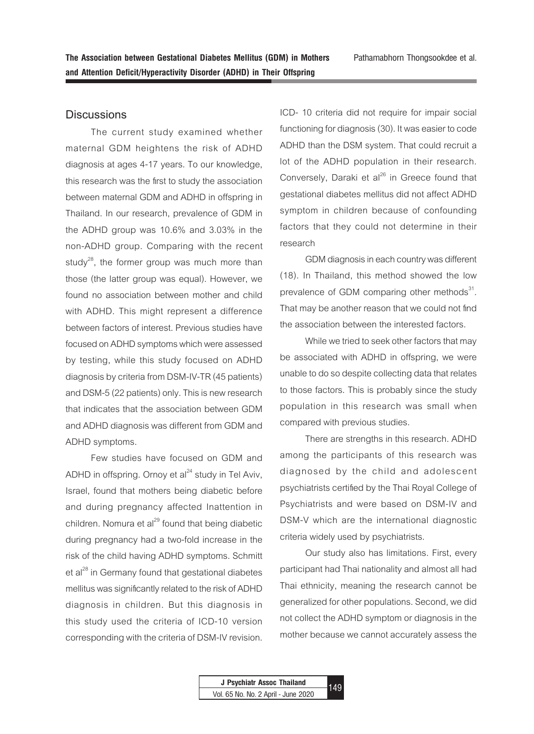## **Discussions**

The current study examined whether maternal GDM heightens the risk of ADHD diagnosis at ages 4-17 years. To our knowledge, this research was the first to study the association between maternal GDM and ADHD in offspring in Thailand. In our research, prevalence of GDM in the ADHD group was 10.6% and 3.03% in the non-ADHD group. Comparing with the recent study<sup>28</sup>, the former group was much more than those (the latter group was equal). However, we found no association between mother and child with ADHD. This might represent a difference between factors of interest. Previous studies have focused on ADHD symptoms which were assessed by testing, while this study focused on ADHD diagnosis by criteria from DSM-IV-TR (45 patients) and DSM-5 (22 patients) only. This is new research that indicates that the association between GDM and ADHD diagnosis was different from GDM and ADHD symptoms.

Few studies have focused on GDM and ADHD in offspring. Ornoy et  $al<sup>24</sup>$  study in Tel Aviv, Israel, found that mothers being diabetic before and during pregnancy affected Inattention in children. Nomura et al $^{29}$  found that being diabetic during pregnancy had a two-fold increase in the risk of the child having ADHD symptoms. Schmitt et al<sup>28</sup> in Germany found that gestational diabetes mellitus was significantly related to the risk of ADHD diagnosis in children. But this diagnosis in this study used the criteria of ICD-10 version corresponding with the criteria of DSM-IV revision.

ICD- 10 criteria did not require for impair social functioning for diagnosis (30). It was easier to code ADHD than the DSM system. That could recruit a lot of the ADHD population in their research. Conversely, Daraki et al<sup>26</sup> in Greece found that gestational diabetes mellitus did not affect ADHD symptom in children because of confounding factors that they could not determine in their research

GDM diagnosis in each country was different (18). In Thailand, this method showed the low prevalence of GDM comparing other methods $^{31}$ . That may be another reason that we could not find the association between the interested factors.

While we tried to seek other factors that may be associated with ADHD in offspring, we were unable to do so despite collecting data that relates to those factors. This is probably since the study population in this research was small when compared with previous studies.

There are strengths in this research. ADHD among the participants of this research was diagnosed by the child and adolescent psychiatrists certified by the Thai Royal College of Psychiatrists and were based on DSM-IV and DSM-V which are the international diagnostic criteria widely used by psychiatrists.

Our study also has limitations. First, every participant had Thai nationality and almost all had Thai ethnicity, meaning the research cannot be generalized for other populations. Second, we did not collect the ADHD symptom or diagnosis in the mother because we cannot accurately assess the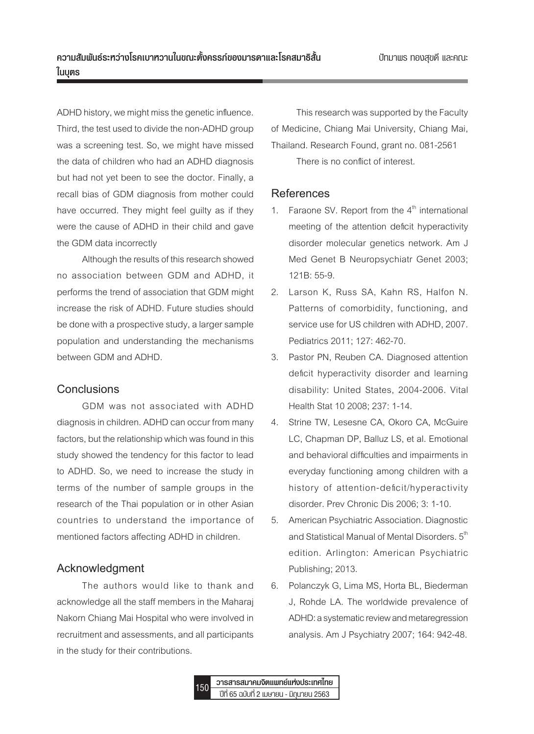ADHD history, we might miss the genetic influence. Third, the test used to divide the non-ADHD group was a screening test. So, we might have missed the data of children who had an ADHD diagnosis but had not yet been to see the doctor. Finally, a recall bias of GDM diagnosis from mother could have occurred. They might feel guilty as if they were the cause of ADHD in their child and gave the GDM data incorrectly

Although the results of this research showed no association between GDM and ADHD, it performs the trend of association that GDM might increase the risk of ADHD. Future studies should be done with a prospective study, a larger sample population and understanding the mechanisms between GDM and ADHD.

## **Conclusions**

GDM was not associated with ADHD diagnosis in children. ADHD can occur from many factors, but the relationship which was found in this study showed the tendency for this factor to lead to ADHD. So, we need to increase the study in terms of the number of sample groups in the research of the Thai population or in other Asian countries to understand the importance of mentioned factors affecting ADHD in children.

# **Acknowledgment**

The authors would like to thank and acknowledge all the staff members in the Maharaj Nakorn Chiang Mai Hospital who were involved in recruitment and assessments, and all participants in the study for their contributions.

This research was supported by the Faculty of Medicine, Chiang Mai University, Chiang Mai, Thailand. Research Found, grant no. 081-2561 There is no conflict of interest.

# **References**

- 1. Faraone SV. Report from the  $4<sup>th</sup>$  international meeting of the attention deficit hyperactivity disorder molecular genetics network. Am J Med Genet B Neuropsychiatr Genet 2003; 121B: 55-9.
- 2. Larson K, Russ SA, Kahn RS, Halfon N. Patterns of comorbidity, functioning, and service use for US children with ADHD, 2007. Pediatrics 2011; 127: 462-70.
- 3. Pastor PN, Reuben CA. Diagnosed attention deficit hyperactivity disorder and learning disability: United States, 2004-2006. Vital Health Stat 10 2008; 237: 1-14.
- 4. Strine TW, Lesesne CA, Okoro CA, McGuire LC, Chapman DP, Balluz LS, et al. Emotional and behavioral difficulties and impairments in everyday functioning among children with a history of attention-deficit/hyperactivity disorder. Prev Chronic Dis 2006; 3: 1-10.
- 5. American Psychiatric Association. Diagnostic and Statistical Manual of Mental Disorders.  $5<sup>th</sup>$ edition. Arlington: American Psychiatric Publishing; 2013.
- 6. Polanczyk G, Lima MS, Horta BL, Biederman J, Rohde LA. The worldwide prevalence of ADHD: a systematic review and metaregression analysis. Am J Psychiatry 2007; 164: 942-48.

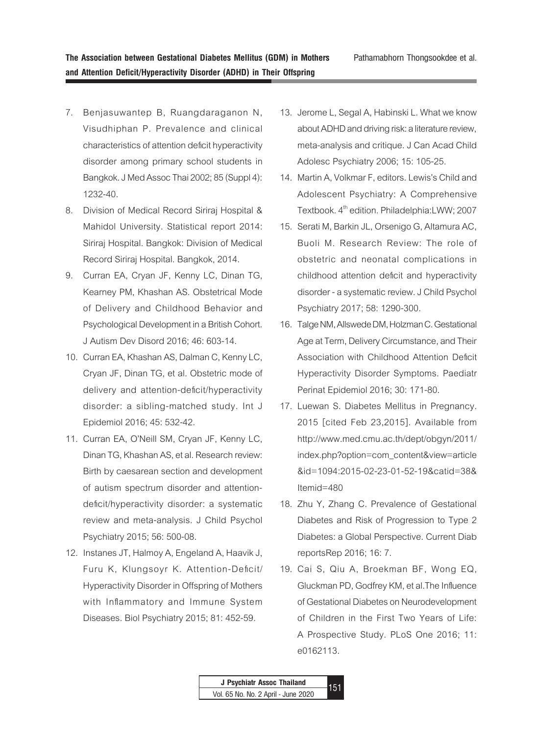- 7. Benjasuwantep B, Ruangdaraganon N, Visudhiphan P. Prevalence and clinical characteristics of attention deficit hyperactivity disorder among primary school students in Bangkok. J Med Assoc Thai 2002; 85 (Suppl 4): 1232-40.
- 8. Division of Medical Record Siriraj Hospital & Mahidol University. Statistical report 2014: Siriraj Hospital. Bangkok: Division of Medical Record Siriraj Hospital. Bangkok, 2014.
- 9. Curran EA, Cryan JF, Kenny LC, Dinan TG, Kearney PM, Khashan AS. Obstetrical Mode of Delivery and Childhood Behavior and Psychological Development in a British Cohort. J Autism Dev Disord 2016; 46: 603-14.
- 10. Curran EA, Khashan AS, Dalman C, Kenny LC, Cryan JF, Dinan TG, et al. Obstetric mode of delivery and attention-deficit/hyperactivity disorder: a sibling-matched study. Int J Epidemiol 2016; 45: 532-42.
- 11. Curran EA, O'Neill SM, Cryan JF, Kenny LC, Dinan TG, Khashan AS, et al. Research review: Birth by caesarean section and development of autism spectrum disorder and attentiondeficit/hyperactivity disorder: a systematic review and meta-analysis. J Child Psychol Psychiatry 2015; 56: 500-08.
- 12. Instanes JT, Halmoy A, Engeland A, Haavik J, Furu K, Klungsoyr K. Attention-Deficit/ Hyperactivity Disorder in Offspring of Mothers with Inflammatory and Immune System Diseases. Biol Psychiatry 2015; 81: 452-59.
- 13. Jerome L, Segal A, Habinski L. What we know about ADHD and driving risk: a literature review, meta-analysis and critique. J Can Acad Child Adolesc Psychiatry 2006; 15: 105-25.
- 14. Martin A, Volkmar F, editors. Lewis's Child and Adolescent Psychiatry: A Comprehensive Textbook. 4<sup>th</sup> edition. Philadelphia:LWW; 2007
- 15. Serati M, Barkin JL, Orsenigo G, Altamura AC, Buoli M. Research Review: The role of obstetric and neonatal complications in childhood attention deficit and hyperactivity disorder - a systematic review. J Child Psychol Psychiatry 2017; 58: 1290-300.
- 16. Talge NM, Allswede DM, Holzman C. Gestational Age at Term, Delivery Circumstance, and Their Association with Childhood Attention Deficit Hyperactivity Disorder Symptoms. Paediatr Perinat Epidemiol 2016; 30: 171-80.
- 17. Luewan S. Diabetes Mellitus in Pregnancy. 2015 [cited Feb 23,2015]. Available from http://www.med.cmu.ac.th/dept/obgyn/2011/ index.php?option=com\_content&view=article &id=1094:2015-02-23-01-52-19&catid=38& Itemid=480
- 18. Zhu Y, Zhang C. Prevalence of Gestational Diabetes and Risk of Progression to Type 2 Diabetes: a Global Perspective. Current Diab reportsRep 2016; 16: 7.
- 19. Cai S, Qiu A, Broekman BF, Wong EQ, Gluckman PD, Godfrey KM, et al.The Influence of Gestational Diabetes on Neurodevelopment of Children in the First Two Years of Life: A Prospective Study. PLoS One 2016; 11: e0162113.